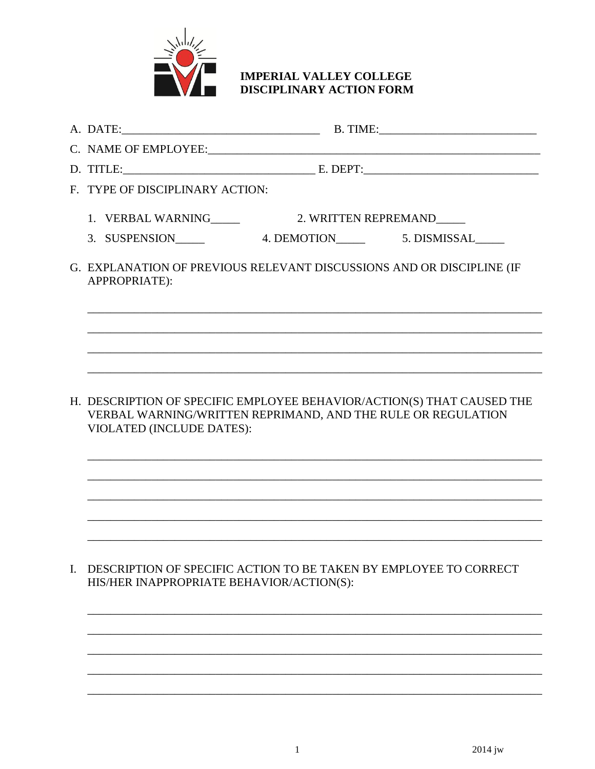

## **IMPERIAL VALLEY COLLEGE** DISCIPLINARY ACTION FORM

|  | F. TYPE OF DISCIPLINARY ACTION:                                                                                                                                            |  |  |
|--|----------------------------------------------------------------------------------------------------------------------------------------------------------------------------|--|--|
|  |                                                                                                                                                                            |  |  |
|  |                                                                                                                                                                            |  |  |
|  | G. EXPLANATION OF PREVIOUS RELEVANT DISCUSSIONS AND OR DISCIPLINE (IF<br>APPROPRIATE):                                                                                     |  |  |
|  |                                                                                                                                                                            |  |  |
|  |                                                                                                                                                                            |  |  |
|  | H. DESCRIPTION OF SPECIFIC EMPLOYEE BEHAVIOR/ACTION(S) THAT CAUSED THE<br>VERBAL WARNING/WRITTEN REPRIMAND, AND THE RULE OR REGULATION<br><b>VIOLATED (INCLUDE DATES):</b> |  |  |
|  |                                                                                                                                                                            |  |  |
|  |                                                                                                                                                                            |  |  |
|  |                                                                                                                                                                            |  |  |
|  |                                                                                                                                                                            |  |  |

I. DESCRIPTION OF SPECIFIC ACTION TO BE TAKEN BY EMPLOYEE TO CORRECT HIS/HER INAPPROPRIATE BEHAVIOR/ACTION(S):